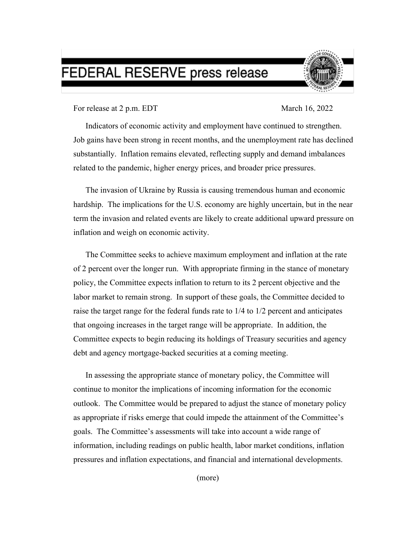## FEDERAL RESERVE press release



For release at 2 p.m. EDT March 16, 2022

Indicators of economic activity and employment have continued to strengthen. Job gains have been strong in recent months, and the unemployment rate has declined substantially. Inflation remains elevated, reflecting supply and demand imbalances related to the pandemic, higher energy prices, and broader price pressures.

The invasion of Ukraine by Russia is causing tremendous human and economic hardship. The implications for the U.S. economy are highly uncertain, but in the near term the invasion and related events are likely to create additional upward pressure on inflation and weigh on economic activity.

The Committee seeks to achieve maximum employment and inflation at the rate of 2 percent over the longer run. With appropriate firming in the stance of monetary policy, the Committee expects inflation to return to its 2 percent objective and the labor market to remain strong. In support of these goals, the Committee decided to raise the target range for the federal funds rate to 1/4 to 1/2 percent and anticipates that ongoing increases in the target range will be appropriate. In addition, the Committee expects to begin reducing its holdings of Treasury securities and agency debt and agency mortgage-backed securities at a coming meeting.

In assessing the appropriate stance of monetary policy, the Committee will continue to monitor the implications of incoming information for the economic outlook. The Committee would be prepared to adjust the stance of monetary policy as appropriate if risks emerge that could impede the attainment of the Committee's goals. The Committee's assessments will take into account a wide range of information, including readings on public health, labor market conditions, inflation pressures and inflation expectations, and financial and international developments.

(more)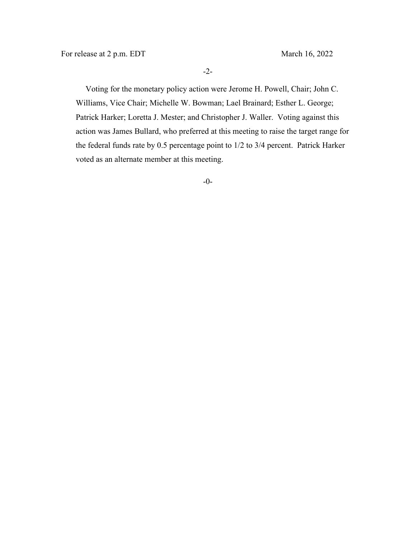Voting for the monetary policy action were Jerome H. Powell, Chair; John C. Williams, Vice Chair; Michelle W. Bowman; Lael Brainard; Esther L. George; Patrick Harker; Loretta J. Mester; and Christopher J. Waller. Voting against this action was James Bullard, who preferred at this meeting to raise the target range for the federal funds rate by 0.5 percentage point to 1/2 to 3/4 percent. Patrick Harker voted as an alternate member at this meeting.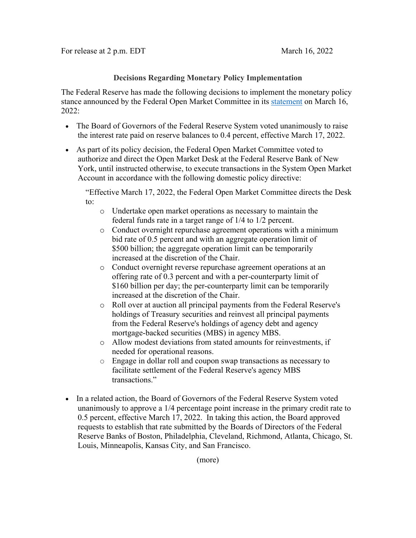## **Decisions Regarding Monetary Policy Implementation**

The Federal Reserve has made the following decisions to implement the monetary policy stance announced by the Federal Open Market Committee in its [statement](https://www.federalreserve.gov/newsevents/pressreleases/monetary20220316a.htm) on March 16, 2022:

- The Board of Governors of the Federal Reserve System voted unanimously to raise the interest rate paid on reserve balances to 0.4 percent, effective March 17, 2022.
- As part of its policy decision, the Federal Open Market Committee voted to authorize and direct the Open Market Desk at the Federal Reserve Bank of New York, until instructed otherwise, to execute transactions in the System Open Market Account in accordance with the following domestic policy directive:

"Effective March 17, 2022, the Federal Open Market Committee directs the Desk to:

- o Undertake open market operations as necessary to maintain the federal funds rate in a target range of 1/4 to 1/2 percent.
- o Conduct overnight repurchase agreement operations with a minimum bid rate of 0.5 percent and with an aggregate operation limit of \$500 billion; the aggregate operation limit can be temporarily increased at the discretion of the Chair.
- o Conduct overnight reverse repurchase agreement operations at an offering rate of 0.3 percent and with a per-counterparty limit of \$160 billion per day; the per-counterparty limit can be temporarily increased at the discretion of the Chair.
- o Roll over at auction all principal payments from the Federal Reserve's holdings of Treasury securities and reinvest all principal payments from the Federal Reserve's holdings of agency debt and agency mortgage-backed securities (MBS) in agency MBS.
- o Allow modest deviations from stated amounts for reinvestments, if needed for operational reasons.
- o Engage in dollar roll and coupon swap transactions as necessary to facilitate settlement of the Federal Reserve's agency MBS transactions."
- In a related action, the Board of Governors of the Federal Reserve System voted unanimously to approve a 1/4 percentage point increase in the primary credit rate to 0.5 percent, effective March 17, 2022. In taking this action, the Board approved requests to establish that rate submitted by the Boards of Directors of the Federal Reserve Banks of Boston, Philadelphia, Cleveland, Richmond, Atlanta, Chicago, St. Louis, Minneapolis, Kansas City, and San Francisco.

(more)